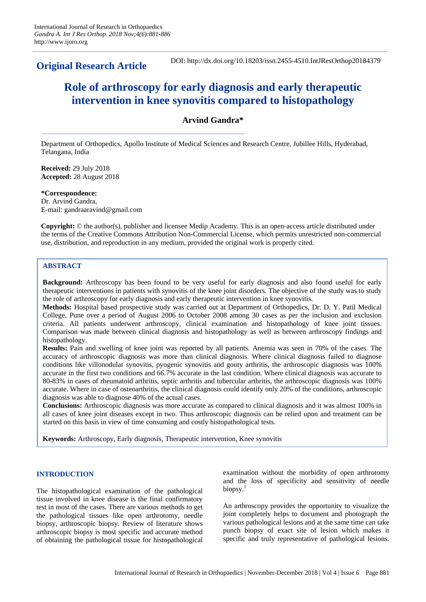**Original Research Article**

DOI: http://dx.doi.org/10.18203/issn.2455-4510.IntJResOrthop20184379

# **Role of arthroscopy for early diagnosis and early therapeutic intervention in knee synovitis compared to histopathology**

## **Arvind Gandra\***

Department of Orthopedics, Apollo Institute of Medical Sciences and Research Centre, Jubillee Hills, Hyderabad, Telangana, India

**Received:** 29 July 2018 **Accepted:** 28 August 2018

**\*Correspondence:** Dr. Arvind Gandra, E-mail: gandraaravind@gmail.com

**Copyright:** © the author(s), publisher and licensee Medip Academy. This is an open-access article distributed under the terms of the Creative Commons Attribution Non-Commercial License, which permits unrestricted non-commercial use, distribution, and reproduction in any medium, provided the original work is properly cited.

## **ABSTRACT**

**Background:** Arthroscopy has been found to be very useful for early diagnosis and also found useful for early therapeutic interventions in patients with synovitis of the knee joint disorders. The objective of the study was to study the role of arthroscopy for early diagnosis and early therapeutic intervention in knee synovitis.

**Methods:** Hospital based prospective study was carried out at Department of Orthopedics, Dr. D. Y. Patil Medical College, Pune over a period of August 2006 to October 2008 among 30 cases as per the inclusion and exclusion criteria. All patients underwent arthroscopy, clinical examination and histopathology of knee joint tissues. Comparison was made between clinical diagnosis and histopathology as well as between arthroscopy findings and histopathology.

**Results:** Pain and swelling of knee joint was reported by all patients. Anemia was seen in 70% of the cases. The accuracy of arthroscopic diagnosis was more than clinical diagnosis. Where clinical diagnosis failed to diagnose conditions like villonodular synovitis, pyogenic synovitis and gouty arthritis, the arthroscopic diagnosis was 100% accurate in the first two conditions and 66.7% accurate in the last condition. Where clinical diagnosis was accurate to 80-83% in cases of rheumatoid arthritis, septic arthritis and tubercular arthritis, the arthroscopic diagnosis was 100% accurate. Where in case of osteoarthritis, the clinical diagnosis could identify only 20% of the conditions, arthroscopic diagnosis was able to diagnose 40% of the actual cases.

**Conclusions:** Arthroscopic diagnosis was more accurate as compared to clinical diagnosis and it was almost 100% in all cases of knee joint diseases except in two. Thus arthroscopic diagnosis can be relied upon and treatment can be started on this basis in view of time consuming and costly histopathological tests.

**Keywords:** Arthroscopy, Early diagnosis, Therapeutic intervention, Knee synovitis

## **INTRODUCTION**

The histopathological examination of the pathological tissue involved in knee disease is the final confirmatory test in most of the cases. There are various methods to get the pathological tissues like open arthrotomy, needle biopsy, arthroscopic biopsy. Review of literature shows arthroscopic biopsy is most specific and accurate method of obtaining the pathological tissue for histopathological examination without the morbidity of open arthrotomy and the loss of specificity and sensitivity of needle biopsy. $<sup>1</sup>$ </sup>

An arthroscopy provides the opportunity to visualize the joint completely helps to document and photograph the various pathological lesions and at the same time can take punch biopsy of exact site of lesion which makes it specific and truly representative of pathological lesions.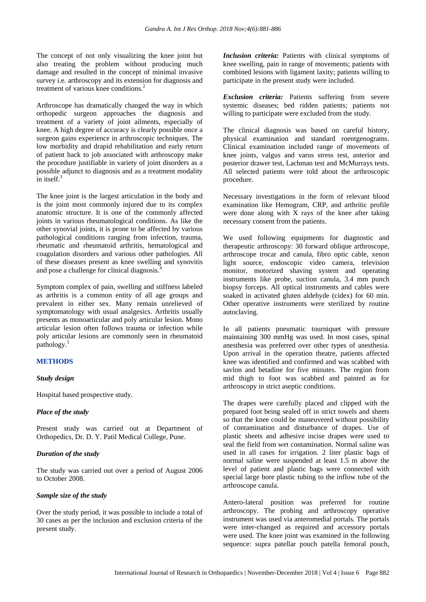The concept of not only visualizing the knee joint but also treating the problem without producing much damage and resulted in the concept of minimal invasive survey i.e. arthroscopy and its extension for diagnosis and treatment of various knee conditions.<sup>2</sup>

Arthroscope has dramatically changed the way in which orthopedic surgeon approaches the diagnosis and treatment of a variety of joint ailments, especially of knee. A high degree of accuracy is clearly possible once a surgeon gains experience in arthroscopic techniques. The low morbidity and drapid rehabilitation and early return of patient back to job associated with arthroscopy make the procedure justifiable in variety of joint disorders as a possible adjunct to diagnosis and as a treatment modality in itself $3$ 

The knee joint is the largest articulation in the body and is the joint most commonly injured due to its complex anatomic structure. It is one of the commonly affected joints in various rheumatological conditions. As like the other synovial joints, it is prone to be affected by various pathological conditions ranging from infection, trauma, rheumatic and rheumatoid arthritis, hematological and coagulation disorders and various other pathologies. All of these diseases present as knee swelling and synovitis and pose a challenge for clinical diagnosis.<sup>4</sup>

Symptom complex of pain, swelling and stiffness labeled as arthritis is a common entity of all age groups and prevalent in either sex. Many remain unrelieved of symptomatology with usual analgesics. Arthritis usually presents as monoarticular and poly articular lesion. Mono articular lesion often follows trauma or infection while poly articular lesions are commonly seen in rheumatoid pathology.<sup>5</sup>

## **METHODS**

## *Study design*

Hospital based prospective study.

## *Place of the study*

Present study was carried out at Department of Orthopedics, Dr. D. Y. Patil Medical College, Pune.

#### *Duration of the study*

The study was carried out over a period of August 2006 to October 2008.

#### *Sample size of the study*

Over the study period, it was possible to include a total of 30 cases as per the inclusion and exclusion criteria of the present study.

*Inclusion criteria:* Patients with clinical symptoms of knee swelling, pain in range of movements; patients with combined lesions with ligament laxity; patients willing to participate in the present study were included.

*Exclusion criteria:* Patients suffering from severe systemic diseases; bed ridden patients; patients not willing to participate were excluded from the study.

The clinical diagnosis was based on careful history, physical examination and standard roentgenograms. Clinical examination included range of movements of knee joints, valgus and varus stress test, anterior and posterior drawer test, Lachman test and McMurrays tests. All selected patients were told about the arthroscopic procedure.

Necessary investigations in the form of relevant blood examination like Hemogram, CRP, and arthritic profile were done along with X rays of the knee after taking necessary consent from the patients.

We used following equipments for diagnostic and therapeutic arthroscopy: 30 forward oblique arthroscope, arthroscope trocar and canula, fibro optic cable, xenon light source, endoscopic video camera, television monitor, motorized shaving system and operating instruments like probe, suction canula, 3.4 mm punch biopsy forceps. All optical instruments and cables were soaked in activated gluten aldehyde (cidex) for 60 min. Other operative instruments were sterilized by routine autoclaving.

In all patients pneumatic tourniquet with pressure maintaining 300 mmHg was used. In most cases, spinal anesthesia was preferred over other types of anesthesia. Upon arrival in the operation theatre, patients affected knee was identified and confirmed and was scabbed with savlon and betadine for five minutes. The region from mid thigh to foot was scabbed and painted as for arthroscopy in strict aseptic conditions.

The drapes were carefully placed and clipped with the prepared foot being sealed off in strict towels and sheets so that the knee could be maneuvered without possibility of contamination and disturbance of drapes. Use of plastic sheets and adhesive incise drapes were used to seal the field from wet contamination. Normal saline was used in all cases for irrigation. 2 liter plastic bags of normal saline were suspended at least 1.5 m above the level of patient and plastic bags were connected with special large bore plastic tubing to the inflow tube of the arthroscope canula.

Antero-lateral position was preferred for routine arthroscopy. The probing and arthroscopy operative instrument was used via anteromedial portals. The portals were inter-changed as required and accessory portals were used. The knee joint was examined in the following sequence: supra patellar pouch patella femoral pouch,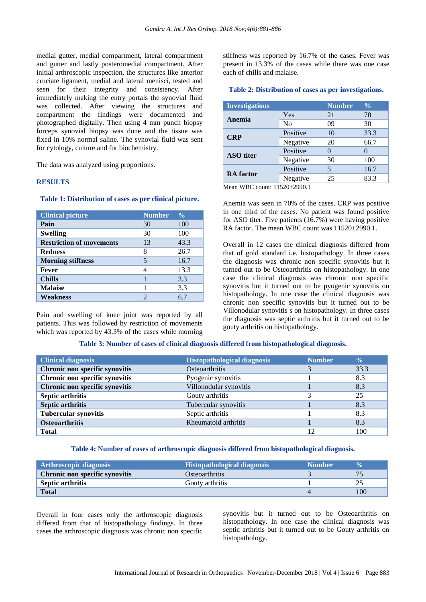medial gutter, medial compartment, lateral compartment and gutter and lastly posteromedial compartment. After initial arthroscopic inspection, the structures like anterior cruciate ligament, medial and lateral menisci, tested and seen for their integrity and consistency. After immediately making the entry portals the synovial fluid was collected. After viewing the structures and compartment the findings were documented and photographed digitally. Then using 4 mm punch biopsy forceps synovial biopsy was done and the tissue was fixed in 10% normal saline. The synovial fluid was sent for cytology, culture and for biochemistry.

The data was analyzed using proportions.

#### **RESULTS**

#### **Table 1: Distribution of cases as per clinical picture.**

| <b>Clinical picture</b>         | <b>Number</b> | $\frac{0}{0}$ |
|---------------------------------|---------------|---------------|
| Pain                            | 30            | 100           |
| <b>Swelling</b>                 | 30            | 100           |
| <b>Restriction of movements</b> | 13            | 43.3          |
| <b>Redness</b>                  | 8             | 26.7          |
| <b>Morning stiffness</b>        | 5             | 16.7          |
| Fever                           | 4             | 13.3          |
| <b>Chills</b>                   |               | 3.3           |
| <b>Malaise</b>                  |               | 3.3           |
| Weakness                        | 2             | 67            |

Pain and swelling of knee joint was reported by all patients. This was followed by restriction of movements which was reported by 43.3% of the cases while morning stiffness was reported by 16.7% of the cases. Fever was present in 13.3% of the cases while there was one case each of chills and malaise.

## **Table 2: Distribution of cases as per investigations.**

|                | <b>Number</b> | $\frac{0}{0}$ |
|----------------|---------------|---------------|
| Yes            | 21            | 70            |
| N <sub>0</sub> | 09            | 30            |
| Positive       | 10            | 33.3          |
| Negative       | 20            | 66.7          |
| Positive       |               |               |
| Negative       | 30            | 100           |
| Positive       | 5             | 16.7          |
| Negative       | 25            | 83.3          |
|                |               |               |

Mean WBC count: 11520+2990.1

Anemia was seen in 70% of the cases. CRP was positive in one third of the cases. No patient was found positive for ASO titer. Five patients (16.7%) were having positive RA factor. The mean WBC count was  $11520\pm2990.1$ .

Overall in 12 cases the clinical diagnosis differed from that of gold standard i.e. histopathology. In three cases the diagnosis was chronic non specific synovitis but it turned out to be Osteoarthritis on histopathology. In one case the clinical diagnosis was chronic non specific synovitis but it turned out to be pyogenic synovitis on histopathology. In one case the clinical diagnosis was chronic non specific synovitis but it turned out to be Villonodular synovitis s on histopathology. In three cases the diagnosis was septic arthritis but it turned out to be gouty arthritis on histopathology.

## **Table 3: Number of cases of clinical diagnosis differed from histopathological diagnosis.**

| <b>Clinical diagnosis</b>      | <b>Histopathological diagnosis</b> | <b>Number</b> | $\overline{\mathbf{0}}$ |
|--------------------------------|------------------------------------|---------------|-------------------------|
| Chronic non specific synovitis | <b>Osteoarthritis</b>              |               | 33.3                    |
| Chronic non specific synovitis | Pyogenic synovitis                 |               | 8.3                     |
| Chronic non specific synovitis | Villonodular synovitis             |               | 8.3                     |
| <b>Septic arthritis</b>        | Gouty arthritis                    |               | 25                      |
| <b>Septic arthritis</b>        | Tubercular synovitis               |               | 8.3                     |
| <b>Tubercular synovitis</b>    | Septic arthritis                   |               | 8.3                     |
| <b>Osteoarthritis</b>          | Rheumatoid arthritis               |               | 8.3                     |
| <b>Total</b>                   |                                    | 12            | 100                     |

#### **Table 4: Number of cases of arthroscopic diagnosis differed from histopathological diagnosis.**

| <b>Arthroscopic diagnosis</b>  | <b>Histopathological diagnosis</b> | <b>Number</b> | <b>V<sub>n</sub></b> |
|--------------------------------|------------------------------------|---------------|----------------------|
| Chronic non specific synovitis | <b>O</b> steoarthritis             |               |                      |
| <b>Septic arthritis</b>        | Gouty arthritis                    |               |                      |
| <b>Total</b>                   |                                    |               | 00                   |

Overall in four cases only the arthroscopic diagnosis differed from that of histopathology findings. In three cases the arthroscopic diagnosis was chronic non specific synovitis but it turned out to be Osteoarthritis on histopathology. In one case the clinical diagnosis was septic arthritis but it turned out to be Gouty arthritis on histopathology.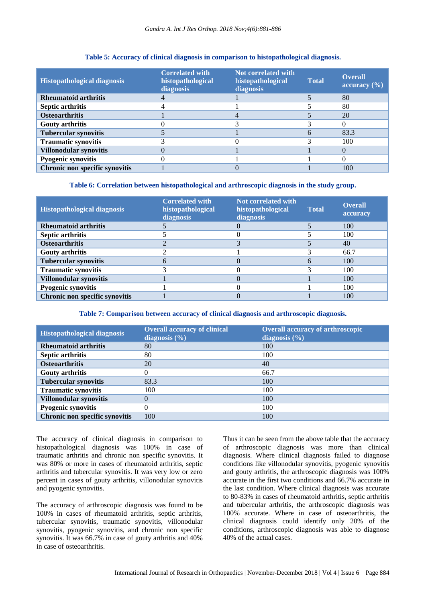| <b>Histopathological diagnosis</b> | <b>Correlated with</b><br>histopathological<br>diagnosis | Not correlated with<br>histopathological<br>diagnosis | <b>Total</b> | <b>Overall</b><br>$\alpha$ accuracy $(\% )$ |
|------------------------------------|----------------------------------------------------------|-------------------------------------------------------|--------------|---------------------------------------------|
| <b>Rheumatoid arthritis</b>        |                                                          |                                                       |              | 80                                          |
| <b>Septic arthritis</b>            |                                                          |                                                       |              | 80                                          |
| <b>Osteoarthritis</b>              |                                                          |                                                       |              | 20                                          |
| <b>Gouty arthritis</b>             |                                                          |                                                       |              |                                             |
| <b>Tubercular synovitis</b>        |                                                          |                                                       |              | 83.3                                        |
| <b>Traumatic synovitis</b>         |                                                          |                                                       |              | 100                                         |
| Villonodular synovitis             |                                                          |                                                       |              |                                             |
| Pyogenic synovitis                 |                                                          |                                                       |              |                                             |
| Chronic non specific synovitis     |                                                          |                                                       |              | 100                                         |

## **Table 5: Accuracy of clinical diagnosis in comparison to histopathological diagnosis.**

#### **Table 6: Correlation between histopathological and arthroscopic diagnosis in the study group.**

| <b>Histopathological diagnosis</b> | <b>Correlated with</b><br>histopathological<br>diagnosis | Not correlated with<br>histopathological<br>diagnosis | <b>Total</b> | <b>Overall</b><br>accuracy |
|------------------------------------|----------------------------------------------------------|-------------------------------------------------------|--------------|----------------------------|
| <b>Rheumatoid arthritis</b>        |                                                          |                                                       |              | 100                        |
| Septic arthritis                   |                                                          |                                                       |              | 100                        |
| <b>Osteoarthritis</b>              |                                                          |                                                       |              | 40                         |
| <b>Gouty arthritis</b>             |                                                          |                                                       |              | 66.7                       |
| <b>Tubercular synovitis</b>        |                                                          |                                                       |              | 100                        |
| <b>Traumatic synovitis</b>         |                                                          |                                                       |              | 100                        |
| Villonodular synovitis             |                                                          |                                                       |              | 100                        |
| Pyogenic synovitis                 |                                                          |                                                       |              | 100                        |
| Chronic non specific synovitis     |                                                          |                                                       |              | 100                        |

**Table 7: Comparison between accuracy of clinical diagnosis and arthroscopic diagnosis.**

| <b>Histopathological diagnosis</b> | <b>Overall accuracy of clinical</b><br>diagnosis $(\% )$ | <b>Overall accuracy of arthroscopic</b><br>diagnosis $(\%)$ |
|------------------------------------|----------------------------------------------------------|-------------------------------------------------------------|
| <b>Rheumatoid arthritis</b>        | 80                                                       | 100                                                         |
| Septic arthritis                   | 80                                                       | 100                                                         |
| <b>Osteoarthritis</b>              | 20                                                       | 40                                                          |
| <b>Gouty arthritis</b>             |                                                          | 66.7                                                        |
| <b>Tubercular synovitis</b>        | 83.3                                                     | 100                                                         |
| <b>Traumatic synovitis</b>         | 100                                                      | 100                                                         |
| Villonodular synovitis             |                                                          | 100                                                         |
| <b>Pyogenic synovitis</b>          |                                                          | 100                                                         |
| Chronic non specific synovitis     | 100                                                      | 100                                                         |

The accuracy of clinical diagnosis in comparison to histopathological diagnosis was 100% in case of traumatic arthritis and chronic non specific synovitis. It was 80% or more in cases of rheumatoid arthritis, septic arthritis and tubercular synovitis. It was very low or zero percent in cases of gouty arthritis, villonodular synovitis and pyogenic synovitis.

The accuracy of arthroscopic diagnosis was found to be 100% in cases of rheumatoid arthritis, septic arthritis, tubercular synovitis, traumatic synovitis, villonodular synovitis, pyogenic synovitis, and chronic non specific synovitis. It was 66.7% in case of gouty arthritis and 40% in case of osteoarthritis.

Thus it can be seen from the above table that the accuracy of arthroscopic diagnosis was more than clinical diagnosis. Where clinical diagnosis failed to diagnose conditions like villonodular synovitis, pyogenic synovitis and gouty arthritis, the arthroscopic diagnosis was 100% accurate in the first two conditions and 66.7% accurate in the last condition. Where clinical diagnosis was accurate to 80-83% in cases of rheumatoid arthritis, septic arthritis and tubercular arthritis, the arthroscopic diagnosis was 100% accurate. Where in case of osteoarthritis, the clinical diagnosis could identify only 20% of the conditions, arthroscopic diagnosis was able to diagnose 40% of the actual cases.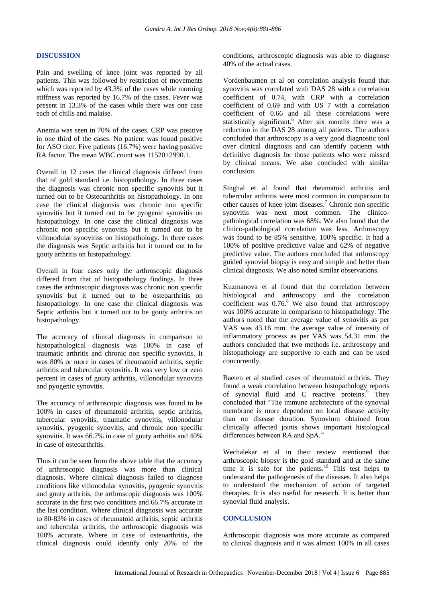#### **DISCUSSION**

Pain and swelling of knee joint was reported by all patients. This was followed by restriction of movements which was reported by 43.3% of the cases while morning stiffness was reported by 16.7% of the cases. Fever was present in 13.3% of the cases while there was one case each of chills and malaise.

Anemia was seen in 70% of the cases. CRP was positive in one third of the cases. No patient was found positive for ASO titer. Five patients (16.7%) were having positive RA factor. The mean WBC count was  $11520\pm 2990.1$ .

Overall in 12 cases the clinical diagnosis differed from that of gold standard i.e. histopathology. In three cases the diagnosis was chronic non specific synovitis but it turned out to be Osteoarthritis on histopathology. In one case the clinical diagnosis was chronic non specific synovitis but it turned out to be pyogenic synovitis on histopathology. In one case the clinical diagnosis was chronic non specific synovitis but it turned out to be villonodular synovitiss on histopathology. In three cases the diagnosis was Septic arthritis but it turned out to be gouty arthritis on histopathology.

Overall in four cases only the arthroscopic diagnosis differed from that of histopathology findings. In three cases the arthroscopic diagnosis was chronic non specific synovitis but it turned out to be osteoarthritis on histopathology. In one case the clinical diagnosis was Septic arthritis but it turned out to be gouty arthritis on histopathology.

The accuracy of clinical diagnosis in comparison to histopathological diagnosis was 100% in case of traumatic arthritis and chronic non specific synovitis. It was 80% or more in cases of rheumatoid arthritis, septic arthritis and tubercular synovitis. It was very low or zero percent in cases of gouty arthritis, villonodular synovitis and pyogenic synovitis.

The accuracy of arthroscopic diagnosis was found to be 100% in cases of rheumatoid arthritis, septic arthritis, tubercular synovitis, traumatic synovitis, villonodular synovitis, pyogenic synovitis, and chronic non specific synovitis. It was 66.7% in case of gouty arthritis and 40% in case of osteoarthritis.

Thus it can be seen from the above table that the accuracy of arthroscopic diagnosis was more than clinical diagnosis. Where clinical diagnosis failed to diagnose conditions like villonodular synovitis, pyogenic synovitis and gouty arthritis, the arthroscopic diagnosis was 100% accurate in the first two conditions and 66.7% accurate in the last condition. Where clinical diagnosis was accurate to 80-83% in cases of rheumatoid arthritis, septic arthritis and tubercular arthritis, the arthroscopic diagnosis was 100% accurate. Where in case of osteoarthritis, the clinical diagnosis could identify only 20% of the conditions, arthroscopic diagnosis was able to diagnose 40% of the actual cases.

Vordenbaumen et al on correlation analysis found that synovitis was correlated with DAS 28 with a correlation coefficient of 0.74, with CRP with a correlation coefficient of 0.69 and with US 7 with a correlation coefficient of 0.66 and all these correlations were statistically significant.<sup>6</sup> After six months there was a reduction in the DAS 28 among all patients. The authors concluded that arthroscopy is a very good diagnostic tool over clinical diagnosis and can identify patients with definitive diagnosis for those patients who were missed by clinical means. We also concluded with similar conclusion.

Singhal et al found that rheumatoid arthritis and tubercular arthritis were most common in comparison to other causes of knee joint diseases.<sup>7</sup> Chronic non specific synovitis was next most common. The clinicopathological correlation was 68%. We also found that the clinico-pathological correlation was less. Arthroscopy was found to be 85% sensitive, 100% specific. It had a 100% of positive predictive value and 62% of negative predictive value. The authors concluded that arthroscopy guided synovial biopsy is easy and simple and better than clinical diagnosis. We also noted similar observations.

Kuzmanova et al found that the correlation between histological and arthroscopy and the correlation coefficient was  $0.76$ .<sup>8</sup> We also found that arthroscopy was 100% accurate in comparison to histopathology. The authors noted that the average value of synovitis as per VAS was 43.16 mm. the average value of intensity of inflammatory process as per VAS was 54.31 mm. the authors concluded that two methods i.e. arthroscopy and histopathology are supportive to each and can be used concurrently.

Baeten et al studied cases of rheumatoid arthritis. They found a weak correlation between histopathology reports of synovial fluid and C reactive proteins.<sup>9</sup> They concluded that "The immune architecture of the synovial membrane is more dependent on local disease activity than on disease duration. Synovium obtained from clinically affected joints shows important histological differences between RA and SpA."

Wechalekar et al in their review mentioned that arthroscopic biopsy is the gold standard and at the same time it is safe for the patients.<sup>10</sup> This test helps to understand the pathogenesis of the diseases. It also helps to understand the mechanism of action of targeted therapies. It is also useful for research. It is better than synovial fluid analysis.

#### **CONCLUSION**

Arthroscopic diagnosis was more accurate as compared to clinical diagnosis and it was almost 100% in all cases